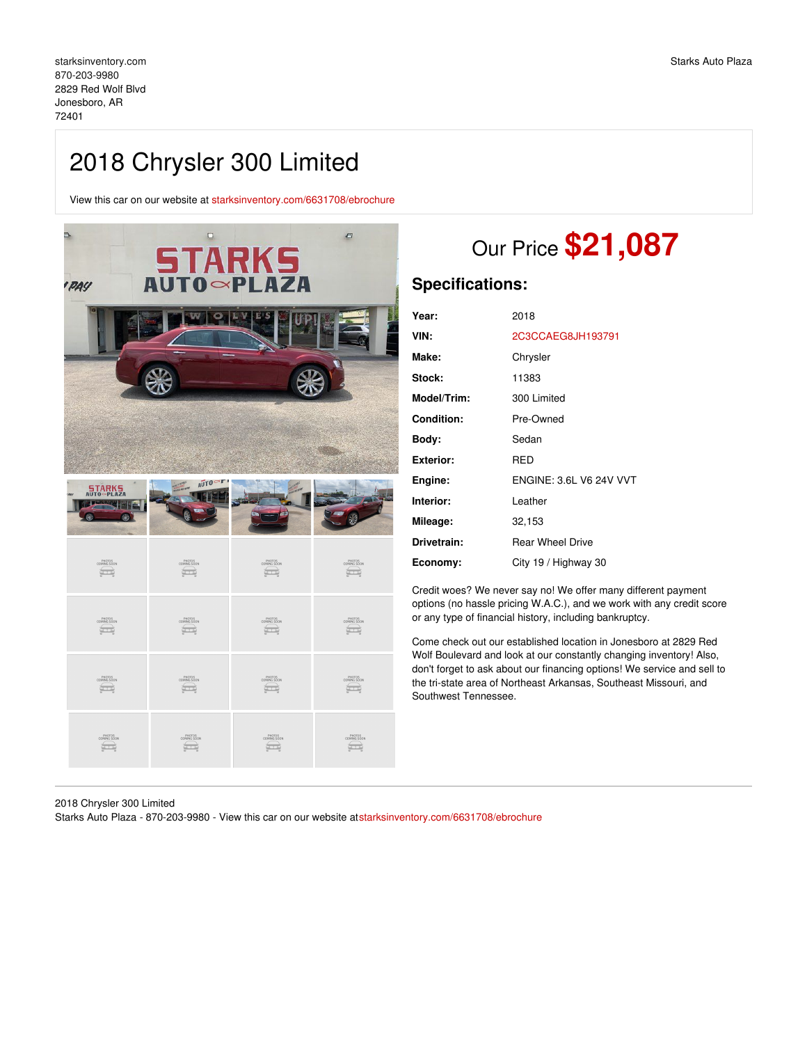## 2018 Chrysler 300 Limited

View this car on our website at [starksinventory.com/6631708/ebrochure](file:///6631708/ebrochure)

| <b>PAY</b> | <b>STARKS</b><br><b>AUTO~PLAZA</b> | Đ |
|------------|------------------------------------|---|
|            |                                    |   |
|            |                                    |   |
|            |                                    |   |
| STARKS     | AUTO                               |   |

| *<br>4                     | ž.                          |                       | 18                    |
|----------------------------|-----------------------------|-----------------------|-----------------------|
| PHOTOS<br>COMING SOON<br>_ | PHOTOS<br>COMING SOON<br>Èт | PHOTOS<br>COMING SOON | PHOTOS<br>COMING SOON |
| PHOTOS<br>COMING SOON      | PHOTOS<br>COMING SOON       | PHOTOS<br>COMING SOON | PHOTOS<br>COMING SOON |
| PHOTOS<br>COMING SOON      | PHOTOS<br>COMING SOON       | PHOTOS<br>COMING SOON | PHOTOS<br>COMING SOON |
| PHOTOS<br>COMING SOON      | PHOTOS<br>COMING SOON       | PHOTOS<br>COMING SOON | PHOTOS<br>COMING SOON |

# Our Price **\$21,087**

### **Specifications:**

| Year:       | 2018                           |
|-------------|--------------------------------|
| VIN:        | 2C3CCAEG8JH193791              |
| Make:       | Chrysler                       |
| Stock:      | 11383                          |
| Model/Trim: | 300 Limited                    |
| Condition:  | Pre-Owned                      |
| Bodv:       | Sedan                          |
| Exterior:   | RED                            |
| Engine:     | <b>ENGINE: 3.6L V6 24V VVT</b> |
| Interior:   | Leather                        |
| Mileage:    | 32,153                         |
| Drivetrain: | <b>Rear Wheel Drive</b>        |
| Economy:    | City 19 / Highway 30           |

Credit woes? We never say no! We offer many different payment options (no hassle pricing W.A.C.), and we work with any credit score or any type of financial history, including bankruptcy.

Come check out our established location in Jonesboro at 2829 Red Wolf Boulevard and look at our constantly changing inventory! Also, don't forget to ask about our financing options! We service and sell to the tri-state area of Northeast Arkansas, Southeast Missouri, and Southwest Tennessee.

2018 Chrysler 300 Limited

Starks Auto Plaza - 870-203-9980 - View this car on our website at[starksinventory.com/6631708/ebrochure](file:///6631708/ebrochure)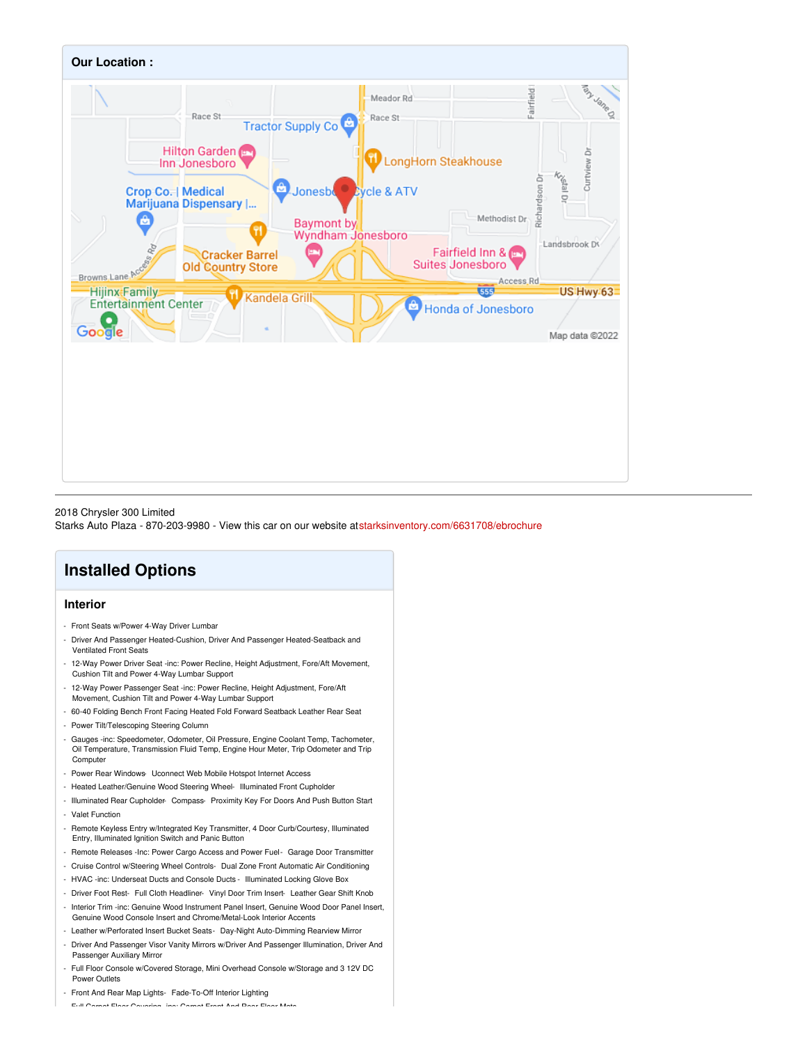

2018 Chrysler 300 Limited

Starks Auto Plaza - 870-203-9980 - View this car on our website at[starksinventory.com/6631708/ebrochure](file:///6631708/ebrochure)

## **Installed Options**

#### **Interior**

- Front Seats w/Power 4-Way Driver Lumbar
- Driver And Passenger Heated-Cushion, Driver And Passenger Heated-Seatback and Ventilated Front Seats
- 12-Way Power Driver Seat -inc: Power Recline, Height Adjustment, Fore/Aft Movement, Cushion Tilt and Power 4-Way Lumbar Support
- 12-Way Power Passenger Seat -inc: Power Recline, Height Adjustment, Fore/Aft
- Movement, Cushion Tilt and Power 4-Way Lumbar Support - 60-40 Folding Bench Front Facing Heated Fold Forward Seatback Leather Rear Seat
- Power Tilt/Telescoping Steering Column
- Gauges -inc: Speedometer, Odometer, Oil Pressure, Engine Coolant Temp, Tachometer, Oil Temperature, Transmission Fluid Temp, Engine Hour Meter, Trip Odometer and Trip
- Compute - Power Rear Windows- Uconnect Web Mobile Hotspot Internet Access
- Heated Leather/Genuine Wood Steering Wheel- Illuminated Front Cupholder
- Illuminated Rear Cupholder- Compass- Proximity Key For Doors And Push Button Start
- Valet Function
- Remote Keyless Entry w/Integrated Key Transmitter, 4 Door Curb/Courtesy, Illuminated Entry, Illuminated Ignition Switch and Panic Button
- Remote Releases -Inc: Power Cargo Access and Power Fuel- Garage Door Transmitter
- Cruise Control w/Steering Wheel Controls- Dual Zone Front Automatic Air Conditioning
- HVAC -inc: Underseat Ducts and Console Ducts Illuminated Locking Glove Box
- Driver Foot Rest- Full Cloth Headliner- Vinyl Door Trim Insert- Leather Gear Shift Knob
- Interior Trim -inc: Genuine Wood Instrument Panel Insert, Genuine Wood Door Panel Insert, Genuine Wood Console Insert and Chrome/Metal-Look Interior Accents
- Leather w/Perforated Insert Bucket Seats- Day-Night Auto-Dimming Rearview Mirror
- Driver And Passenger Visor Vanity Mirrors w/Driver And Passenger Illumination, Driver And Passenger Auxiliary Mirror
- Full Floor Console w/Covered Storage, Mini Overhead Console w/Storage and 3 12V DC Power Outlets
- Front And Rear Map Lights- Fade-To-Off Interior Lighting

- Full Carpet Floor Covering -inc: Carpet Front And Rear Floor Mats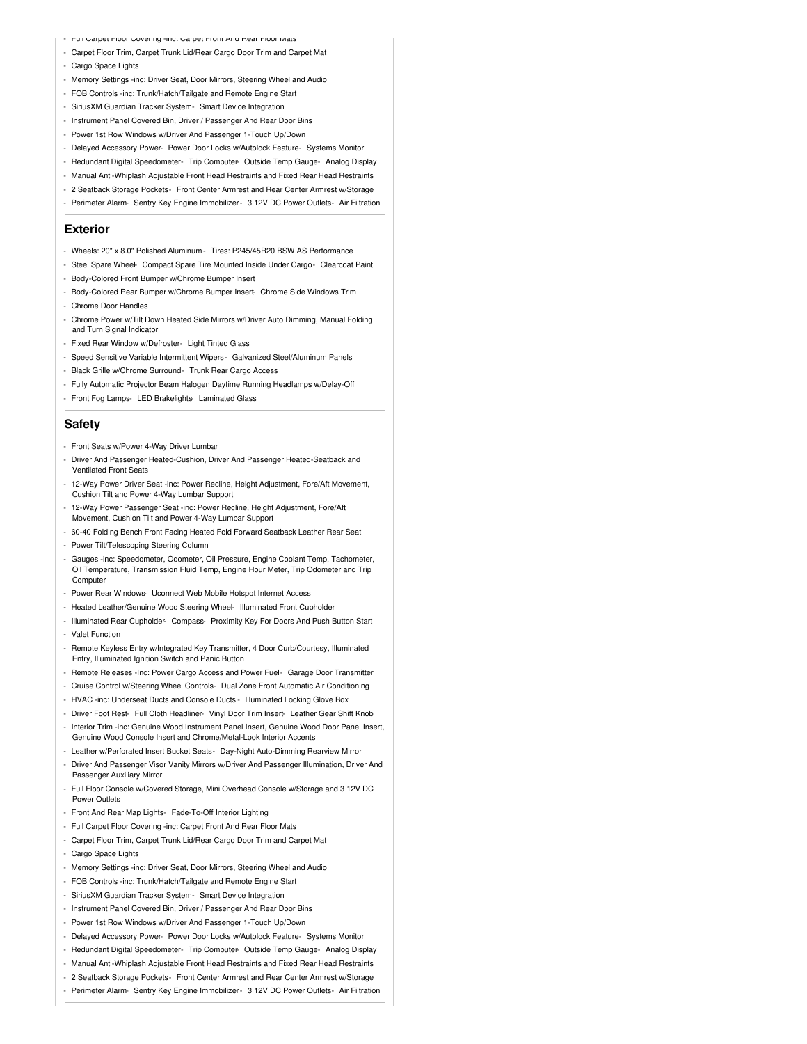- Full Carpet Floor Covering -inc: Carpet Front And Rear Floor Mats
- Carpet Floor Trim, Carpet Trunk Lid/Rear Cargo Door Trim and Carpet Mat
- Cargo Space Lights
- Memory Settings -inc: Driver Seat, Door Mirrors, Steering Wheel and Audio
- FOB Controls -inc: Trunk/Hatch/Tailgate and Remote Engine Start
- SiriusXM Guardian Tracker System- Smart Device Integration
- Instrument Panel Covered Bin, Driver / Passenger And Rear Door Bins
- Power 1st Row Windows w/Driver And Passenger 1-Touch Up/Down
- Delayed Accessory Power- Power Door Locks w/Autolock Feature- Systems Monitor
- Redundant Digital Speedometer- Trip Computer- Outside Temp Gauge- Analog Display
- Manual Anti-Whiplash Adjustable Front Head Restraints and Fixed Rear Head Restraints
- 2 Seatback Storage Pockets- Front Center Armrest and Rear Center Armrest w/Storage
- Perimeter Alarm- Sentry Key Engine Immobilizer 3 12V DC Power Outlets- Air Filtration

#### **Exterior**

- Wheels: 20" x 8.0" Polished Aluminum Tires: P245/45R20 BSW AS Performance
- Steel Spare Wheel- Compact Spare Tire Mounted Inside Under Cargo- Clearcoat Paint
- Body-Colored Front Bumper w/Chrome Bumper Insert
- Body-Colored Rear Bumper w/Chrome Bumper Insert- Chrome Side Windows Trim
- Chrome Door Handles
- Chrome Power w/Tilt Down Heated Side Mirrors w/Driver Auto Dimming, Manual Folding and Turn Signal Indicator
- Fixed Rear Window w/Defroster- Light Tinted Glass
- Speed Sensitive Variable Intermittent Wipers- Galvanized Steel/Aluminum Panels
- Black Grille w/Chrome Surround- Trunk Rear Cargo Access
- Fully Automatic Projector Beam Halogen Daytime Running Headlamps w/Delay-Off
- Front Fog Lamps- LED Brakelights- Laminated Glass

#### **Safety**

- Front Seats w/Power 4-Way Driver Lumbar
- Driver And Passenger Heated-Cushion, Driver And Passenger Heated-Seatback and Ventilated Front Seats
- 12-Way Power Driver Seat -inc: Power Recline, Height Adjustment, Fore/Aft Movement, Cushion Tilt and Power 4-Way Lumbar Support
- 12-Way Power Passenger Seat -inc: Power Recline, Height Adjustment, Fore/Aft Movement, Cushion Tilt and Power 4-Way Lumbar Support
- 60-40 Folding Bench Front Facing Heated Fold Forward Seatback Leather Rear Seat
- Power Tilt/Telescoping Steering Column
- Gauges -inc: Speedometer, Odometer, Oil Pressure, Engine Coolant Temp, Tachometer, Oil Temperature, Transmission Fluid Temp, Engine Hour Meter, Trip Odometer and Trip **Computer**
- Power Rear Windows- Uconnect Web Mobile Hotspot Internet Access
- Heated Leather/Genuine Wood Steering Wheel- Illuminated Front Cupholder
- Illuminated Rear Cupholder- Compass- Proximity Key For Doors And Push Button Start - Valet Function
- Remote Keyless Entry w/Integrated Key Transmitter, 4 Door Curb/Courtesy, Illuminated Entry, Illuminated Ignition Switch and Panic Button
- Remote Releases -Inc: Power Cargo Access and Power Fuel- Garage Door Transmitter
- Cruise Control w/Steering Wheel Controls- Dual Zone Front Automatic Air Conditioning
- HVAC -inc: Underseat Ducts and Console Ducts Illuminated Locking Glove Box
- Driver Foot Rest- Full Cloth Headliner- Vinyl Door Trim Insert- Leather Gear Shift Knob - Interior Trim -inc: Genuine Wood Instrument Panel Insert, Genuine Wood Door Panel Insert, Genuine Wood Console Insert and Chrome/Metal-Look Interior Accents
- Leather w/Perforated Insert Bucket Seats- Day-Night Auto-Dimming Rearview Mirror
- Driver And Passenger Visor Vanity Mirrors w/Driver And Passenger Illumination, Driver And Passenger Auxiliary Mirror
- Full Floor Console w/Covered Storage, Mini Overhead Console w/Storage and 3 12V DC Power Outlets
- Front And Rear Map Lights- Fade-To-Off Interior Lighting
- Full Carpet Floor Covering -inc: Carpet Front And Rear Floor Mats
- Carpet Floor Trim, Carpet Trunk Lid/Rear Cargo Door Trim and Carpet Mat
- Cargo Space Lights
- Memory Settings -inc: Driver Seat, Door Mirrors, Steering Wheel and Audio
- FOB Controls -inc: Trunk/Hatch/Tailgate and Remote Engine Start
- SiriusXM Guardian Tracker System- Smart Device Integration
- Instrument Panel Covered Bin, Driver / Passenger And Rear Door Bins
- Power 1st Row Windows w/Driver And Passenger 1-Touch Up/Down
- Delayed Accessory Power- Power Door Locks w/Autolock Feature- Systems Monitor
- Redundant Digital Speedometer- Trip Computer- Outside Temp Gauge- Analog Display
- Manual Anti-Whiplash Adjustable Front Head Restraints and Fixed Rear Head Restraints
- 2 Seatback Storage Pockets- Front Center Armrest and Rear Center Armrest w/Storage
- Perimeter Alarm- Sentry Key Engine Immobilizer 3 12V DC Power Outlets- Air Filtration